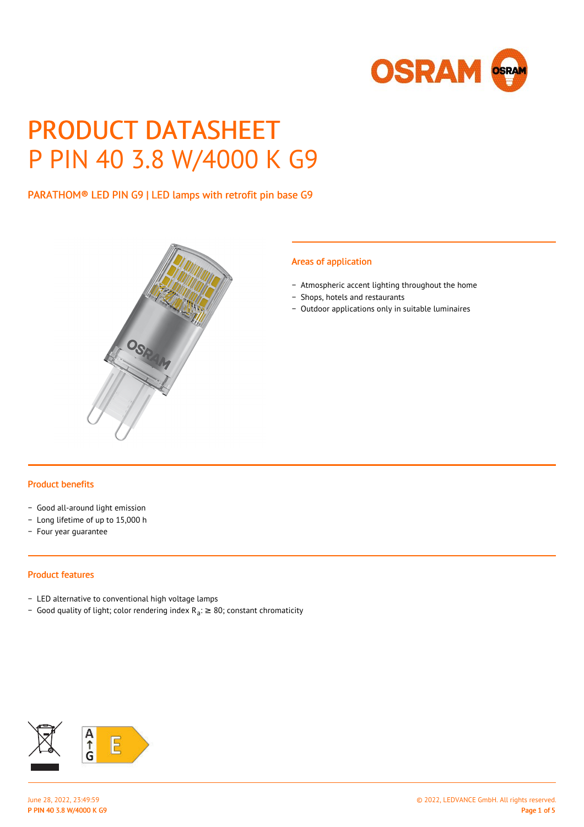

# PRODUCT DATASHEET P PIN 40 3.8 W/4000 K G9

# PARATHOM® LED PIN G9 | LED lamps with retrofit pin base G9



#### Areas of application

- − Atmospheric accent lighting throughout the home
- − Shops, hotels and restaurants
- − Outdoor applications only in suitable luminaires

#### Product benefits

- − Good all-around light emission
- − Long lifetime of up to 15,000 h
- − Four year guarantee

### Product features

- − LED alternative to conventional high voltage lamps
- Good quality of light; color rendering index R<sub>a</sub>: ≥ 80; constant chromaticity

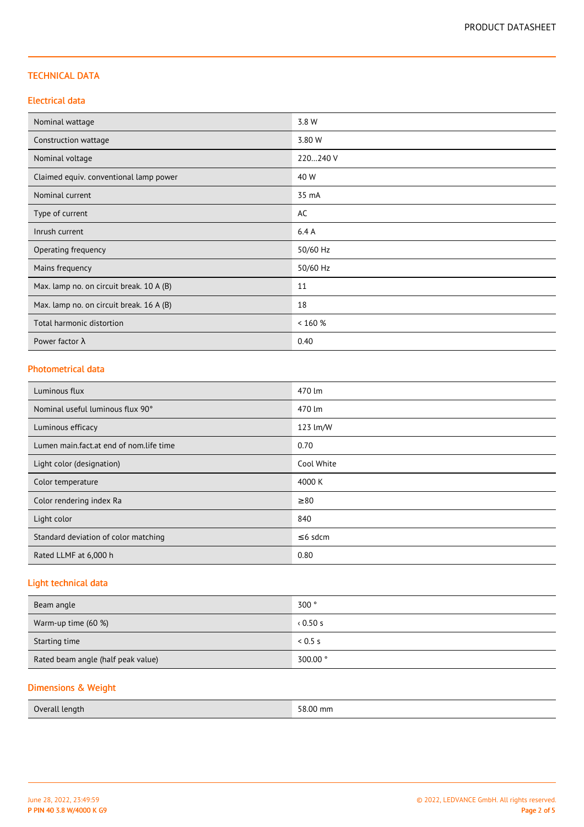## TECHNICAL DATA

## Electrical data

| Nominal wattage                          | 3.8 W    |
|------------------------------------------|----------|
| Construction wattage                     | 3.80 W   |
| Nominal voltage                          | 220240 V |
| Claimed equiv. conventional lamp power   | 40 W     |
| Nominal current                          | 35 mA    |
| Type of current                          | AC       |
| Inrush current                           | 6.4A     |
| Operating frequency                      | 50/60 Hz |
| Mains frequency                          | 50/60 Hz |
| Max. lamp no. on circuit break. 10 A (B) | 11       |
| Max. lamp no. on circuit break. 16 A (B) | 18       |
| Total harmonic distortion                | < 160 %  |
| Power factor $\lambda$                   | 0.40     |

### Photometrical data

| Luminous flux                           | 470 lm        |
|-----------------------------------------|---------------|
| Nominal useful luminous flux 90°        | 470 lm        |
| Luminous efficacy                       | 123 lm/W      |
| Lumen main.fact.at end of nom.life time | 0.70          |
| Light color (designation)               | Cool White    |
| Color temperature                       | 4000 K        |
| Color rendering index Ra                | $\geq 80$     |
| Light color                             | 840           |
| Standard deviation of color matching    | $\leq 6$ sdcm |
| Rated LLMF at 6,000 h                   | 0.80          |

# Light technical data

| Beam angle                         | 300°     |
|------------------------------------|----------|
| Warm-up time (60 %)                | 0.50s    |
| Starting time                      | 0.5 s    |
| Rated beam angle (half peak value) | 300.00 ° |

# Dimensions & Weight

| Overall length | 58.00 mm |
|----------------|----------|
|----------------|----------|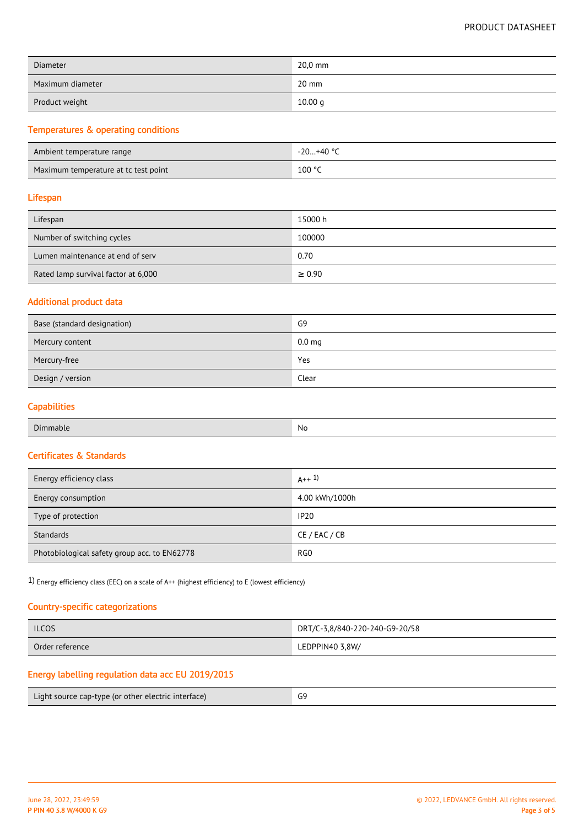| <b>Diameter</b>  | 20,0 mm |
|------------------|---------|
| Maximum diameter | 20 mm   |
| Product weight   | 10.00 g |

# Temperatures & operating conditions

| Ambient temperature range            | -20…+40 °C |
|--------------------------------------|------------|
| Maximum temperature at tc test point | 100 °C     |

#### Lifespan

| Lifespan                            | 15000 h     |
|-------------------------------------|-------------|
| Number of switching cycles          | 100000      |
| Lumen maintenance at end of serv    | 0.70        |
| Rated lamp survival factor at 6,000 | $\geq 0.90$ |

## Additional product data

| Base (standard designation) | G9                |
|-----------------------------|-------------------|
| Mercury content             | 0.0 <sub>mg</sub> |
| Mercury-free                | Yes               |
| Design / version            | Clear             |

# **Capabilities**

## Certificates & Standards

| Energy efficiency class                      | $A++1$          |
|----------------------------------------------|-----------------|
| Energy consumption                           | 4.00 kWh/1000h  |
| Type of protection                           | <b>IP20</b>     |
| Standards                                    | CE / EAC / CB   |
| Photobiological safety group acc. to EN62778 | RG <sub>0</sub> |

1) Energy efficiency class (EEC) on a scale of A++ (highest efficiency) to E (lowest efficiency)

## Country-specific categorizations

| <b>ILCOS</b>    | DRT/C-3,8/840-220-240-G9-20/58 |
|-----------------|--------------------------------|
| Order reference | LEDPPIN40 3,8W/                |

# Energy labelling regulation data acc EU 2019/2015

| Light source cap-type (or other electric interface) |  |
|-----------------------------------------------------|--|
|-----------------------------------------------------|--|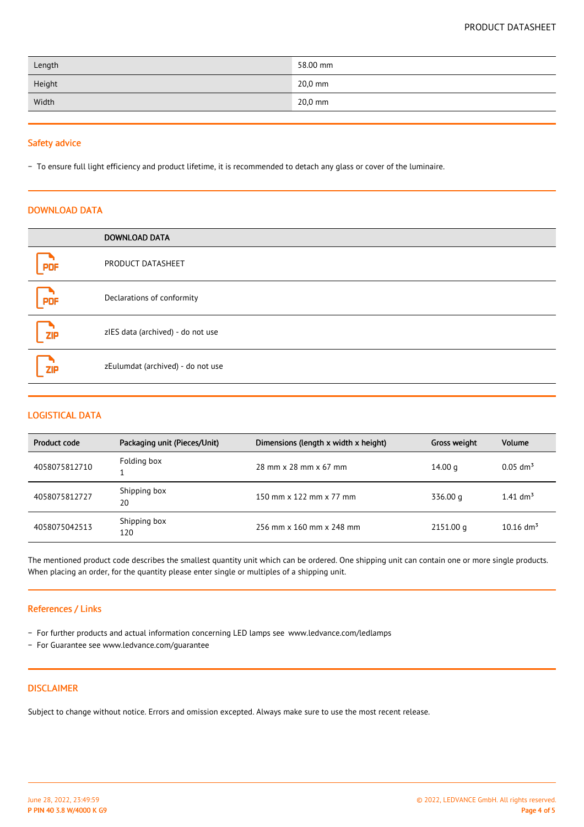| Length | 58.00 mm |
|--------|----------|
| Height | 20,0 mm  |
| Width  | 20,0 mm  |

#### Safety advice

− To ensure full light efficiency and product lifetime, it is recommended to detach any glass or cover of the luminaire.

### DOWNLOAD DATA

|            | <b>DOWNLOAD DATA</b>              |
|------------|-----------------------------------|
| <b>PDF</b> | PRODUCT DATASHEET                 |
| <b>PDF</b> | Declarations of conformity        |
| <b>ZIP</b> | zIES data (archived) - do not use |
| <b>ZIP</b> | zEulumdat (archived) - do not use |

## LOGISTICAL DATA

| Product code  | Packaging unit (Pieces/Unit) | Dimensions (length x width x height) | Gross weight | Volume                  |
|---------------|------------------------------|--------------------------------------|--------------|-------------------------|
| 4058075812710 | Folding box                  | 28 mm x 28 mm x 67 mm                | 14.00 g      | $0.05$ dm <sup>3</sup>  |
| 4058075812727 | Shipping box<br>20           | 150 mm x 122 mm x 77 mm              | 336.00 g     | 1.41 $\text{dm}^3$      |
| 4058075042513 | Shipping box<br>120          | 256 mm x 160 mm x 248 mm             | 2151.00 g    | $10.16$ dm <sup>3</sup> |

The mentioned product code describes the smallest quantity unit which can be ordered. One shipping unit can contain one or more single products. When placing an order, for the quantity please enter single or multiples of a shipping unit.

#### References / Links

- − For further products and actual information concerning LED lamps see www.ledvance.com/ledlamps
- − For Guarantee see www.ledvance.com/guarantee

## DISCLAIMER

Subject to change without notice. Errors and omission excepted. Always make sure to use the most recent release.